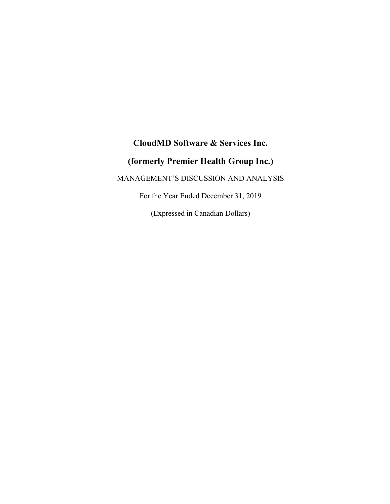# **CloudMD Software & Services Inc.**

# **(formerly Premier Health Group Inc.)**

MANAGEMENT'S DISCUSSION AND ANALYSIS

For the Year Ended December 31, 2019

(Expressed in Canadian Dollars)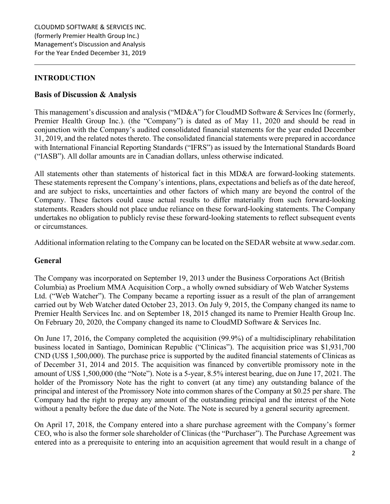# **INTRODUCTION**

# **Basis of Discussion & Analysis**

This management's discussion and analysis ("MD&A") for CloudMD Software & Services Inc (formerly, Premier Health Group Inc.). (the "Company") is dated as of May 11, 2020 and should be read in conjunction with the Company's audited consolidated financial statements for the year ended December 31, 2019, and the related notes thereto. The consolidated financial statements were prepared in accordance with International Financial Reporting Standards ("IFRS") as issued by the International Standards Board ("IASB"). All dollar amounts are in Canadian dollars, unless otherwise indicated.

All statements other than statements of historical fact in this MD&A are forward-looking statements. These statements represent the Company's intentions, plans, expectations and beliefs as of the date hereof, and are subject to risks, uncertainties and other factors of which many are beyond the control of the Company. These factors could cause actual results to differ materially from such forward-looking statements. Readers should not place undue reliance on these forward-looking statements. The Company undertakes no obligation to publicly revise these forward-looking statements to reflect subsequent events or circumstances.

Additional information relating to the Company can be located on the SEDAR website at www.sedar.com.

## **General**

The Company was incorporated on September 19, 2013 under the Business Corporations Act (British Columbia) as Proelium MMA Acquisition Corp., a wholly owned subsidiary of Web Watcher Systems Ltd. ("Web Watcher"). The Company became a reporting issuer as a result of the plan of arrangement carried out by Web Watcher dated October 23, 2013. On July 9, 2015, the Company changed its name to Premier Health Services Inc. and on September 18, 2015 changed its name to Premier Health Group Inc. On February 20, 2020, the Company changed its name to CloudMD Software & Services Inc.

On June 17, 2016, the Company completed the acquisition (99.9%) of a multidisciplinary rehabilitation business located in Santiago, Dominican Republic ("Clinicas"). The acquisition price was \$1,931,700 CND (US\$ 1,500,000). The purchase price is supported by the audited financial statements of Clinicas as of December 31, 2014 and 2015. The acquisition was financed by convertible promissory note in the amount of US\$ 1,500,000 (the "Note"). Note is a 5-year, 8.5% interest bearing, due on June 17, 2021. The holder of the Promissory Note has the right to convert (at any time) any outstanding balance of the principal and interest of the Promissory Note into common shares of the Company at \$0.25 per share. The Company had the right to prepay any amount of the outstanding principal and the interest of the Note without a penalty before the due date of the Note. The Note is secured by a general security agreement.

On April 17, 2018, the Company entered into a share purchase agreement with the Company's former CEO, who is also the former sole shareholder of Clinicas (the "Purchaser"). The Purchase Agreement was entered into as a prerequisite to entering into an acquisition agreement that would result in a change of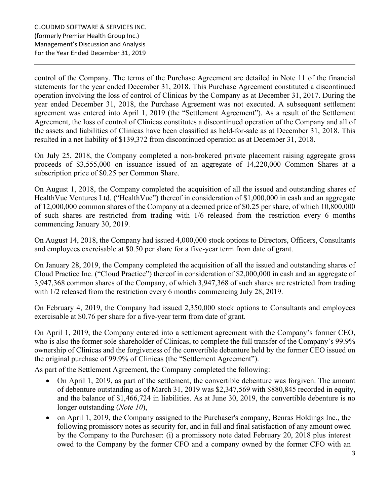control of the Company. The terms of the Purchase Agreement are detailed in Note 11 of the financial statements for the year ended December 31, 2018. This Purchase Agreement constituted a discontinued operation involving the loss of control of Clinicas by the Company as at December 31, 2017. During the year ended December 31, 2018, the Purchase Agreement was not executed. A subsequent settlement agreement was entered into April 1, 2019 (the "Settlement Agreement"). As a result of the Settlement Agreement, the loss of control of Clinicas constitutes a discontinued operation of the Company and all of the assets and liabilities of Clinicas have been classified as held-for-sale as at December 31, 2018. This resulted in a net liability of \$139,372 from discontinued operation as at December 31, 2018.

On July 25, 2018, the Company completed a non-brokered private placement raising aggregate gross proceeds of \$3,555,000 on issuance issued of an aggregate of 14,220,000 Common Shares at a subscription price of \$0.25 per Common Share.

On August 1, 2018, the Company completed the acquisition of all the issued and outstanding shares of HealthVue Ventures Ltd. ("HealthVue") thereof in consideration of \$1,000,000 in cash and an aggregate of 12,000,000 common shares of the Company at a deemed price of \$0.25 per share, of which 10,800,000 of such shares are restricted from trading with 1/6 released from the restriction every 6 months commencing January 30, 2019.

On August 14, 2018, the Company had issued 4,000,000 stock options to Directors, Officers, Consultants and employees exercisable at \$0.50 per share for a five-year term from date of grant.

On January 28, 2019, the Company completed the acquisition of all the issued and outstanding shares of Cloud Practice Inc. ("Cloud Practice") thereof in consideration of \$2,000,000 in cash and an aggregate of 3,947,368 common shares of the Company, of which 3,947,368 of such shares are restricted from trading with  $1/2$  released from the restriction every 6 months commencing July 28, 2019.

On February 4, 2019, the Company had issued 2,350,000 stock options to Consultants and employees exercisable at \$0.76 per share for a five-year term from date of grant.

On April 1, 2019, the Company entered into a settlement agreement with the Company's former CEO, who is also the former sole shareholder of Clinicas, to complete the full transfer of the Company's 99.9% ownership of Clinicas and the forgiveness of the convertible debenture held by the former CEO issued on the original purchase of 99.9% of Clinicas (the "Settlement Agreement").

As part of the Settlement Agreement, the Company completed the following:

- On April 1, 2019, as part of the settlement, the convertible debenture was forgiven. The amount of debenture outstanding as of March 31, 2019 was \$2,347,569 with \$880,845 recorded in equity, and the balance of \$1,466,724 in liabilities. As at June 30, 2019, the convertible debenture is no longer outstanding (*Note 10*),
- on April 1, 2019, the Company assigned to the Purchaser's company, Benras Holdings Inc., the following promissory notes as security for, and in full and final satisfaction of any amount owed by the Company to the Purchaser: (i) a promissory note dated February 20, 2018 plus interest owed to the Company by the former CFO and a company owned by the former CFO with an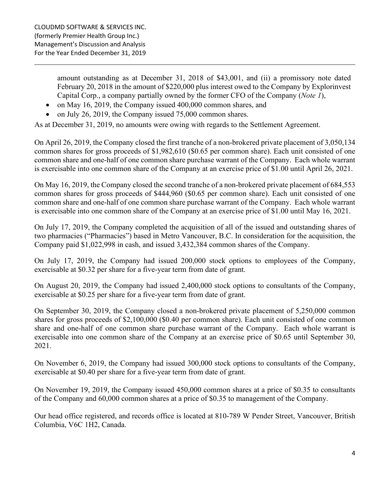amount outstanding as at December 31, 2018 of \$43,001, and (ii) a promissory note dated February 20, 2018 in the amount of \$220,000 plus interest owed to the Company by Explorinvest Capital Corp., a company partially owned by the former CFO of the Company (*Note 1*),

- on May 16, 2019, the Company issued 400,000 common shares, and
- on July 26, 2019, the Company issued 75,000 common shares.

As at December 31, 2019, no amounts were owing with regards to the Settlement Agreement.

On April 26, 2019, the Company closed the first tranche of a non-brokered private placement of 3,050,134 common shares for gross proceeds of \$1,982,610 (\$0.65 per common share). Each unit consisted of one common share and one-half of one common share purchase warrant of the Company. Each whole warrant is exercisable into one common share of the Company at an exercise price of \$1.00 until April 26, 2021.

On May 16, 2019, the Company closed the second tranche of a non-brokered private placement of 684,553 common shares for gross proceeds of \$444,960 (\$0.65 per common share). Each unit consisted of one common share and one-half of one common share purchase warrant of the Company. Each whole warrant is exercisable into one common share of the Company at an exercise price of \$1.00 until May 16, 2021.

On July 17, 2019, the Company completed the acquisition of all of the issued and outstanding shares of two pharmacies ("Pharmacies") based in Metro Vancouver, B.C. In consideration for the acquisition, the Company paid \$1,022,998 in cash, and issued 3,432,384 common shares of the Company.

On July 17, 2019, the Company had issued 200,000 stock options to employees of the Company, exercisable at \$0.32 per share for a five-year term from date of grant.

On August 20, 2019, the Company had issued 2,400,000 stock options to consultants of the Company, exercisable at \$0.25 per share for a five-year term from date of grant.

On September 30, 2019, the Company closed a non-brokered private placement of 5,250,000 common shares for gross proceeds of \$2,100,000 (\$0.40 per common share). Each unit consisted of one common share and one-half of one common share purchase warrant of the Company. Each whole warrant is exercisable into one common share of the Company at an exercise price of \$0.65 until September 30, 2021.

On November 6, 2019, the Company had issued 300,000 stock options to consultants of the Company, exercisable at \$0.40 per share for a five-year term from date of grant.

On November 19, 2019, the Company issued 450,000 common shares at a price of \$0.35 to consultants of the Company and 60,000 common shares at a price of \$0.35 to management of the Company.

Our head office registered, and records office is located at 810-789 W Pender Street, Vancouver, British Columbia, V6C 1H2, Canada.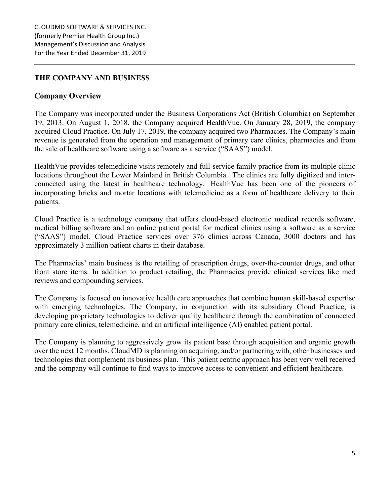## **THE COMPANY AND BUSINESS**

#### **Company Overview**

The Company was incorporated under the Business Corporations Act (British Columbia) on September 19, 2013. On August 1, 2018, the Company acquired HealthVue. On January 28, 2019, the company acquired Cloud Practice. On July 17, 2019, the company acquired two Pharmacies. The Company's main revenue is generated from the operation and management of primary care clinics, pharmacies and from the sale of healthcare software using a software as a service ("SAAS") model.

HealthVue provides telemedicine visits remotely and full-service family practice from its multiple clinic locations throughout the Lower Mainland in British Columbia. The clinics are fully digitized and interconnected using the latest in healthcare technology. HealthVue has been one of the pioneers of incorporating bricks and mortar locations with telemedicine as a form of healthcare delivery to their patients.

Cloud Practice is a technology company that offers cloud-based electronic medical records software, medical billing software and an online patient portal for medical clinics using a software as a service ("SAAS") model. Cloud Practice services over 376 clinics across Canada, 3000 doctors and has approximately 3 million patient charts in their database.

The Pharmacies' main business is the retailing of prescription drugs, over-the-counter drugs, and other front store items. In addition to product retailing, the Pharmacies provide clinical services like med reviews and compounding services.

The Company is focused on innovative health care approaches that combine human skill-based expertise with emerging technologies. The Company, in conjunction with its subsidiary Cloud Practice, is developing proprietary technologies to deliver quality healthcare through the combination of connected primary care clinics, telemedicine, and an artificial intelligence (AI) enabled patient portal.

The Company is planning to aggressively grow its patient base through acquisition and organic growth over the next 12 months. CloudMD is planning on acquiring, and/or partnering with, other businesses and technologies that complement its business plan. This patient centric approach has been very well received and the company will continue to find ways to improve access to convenient and efficient healthcare.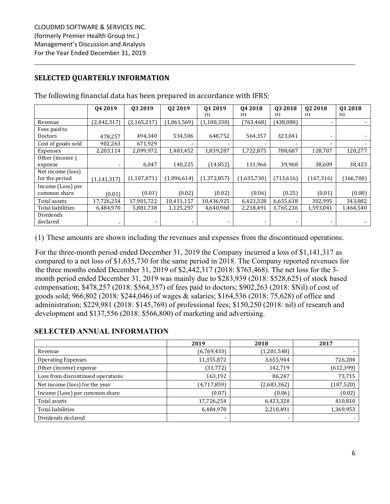# **SELECTED QUARTERLY INFORMATION**

|                    | 04 2019       | 03 2019       | 02 2019     | 01 2019     | 04 2018     | 03 2018                  | 02 2018    | 01 2018    |
|--------------------|---------------|---------------|-------------|-------------|-------------|--------------------------|------------|------------|
|                    |               |               |             | (1)         | (1)         | (1)                      | (1)        | (1)        |
| Revenue            | (2,442,317)   | (2, 165, 217) | (1,061,569) | (1,100,330) | (763, 468)  | (438,080)                |            |            |
| Fees paid to       |               |               |             |             |             |                          |            |            |
| Doctors            | 478,257       | 494,340       | 534,506     | 648,752     | 564,357     | 323,041                  |            |            |
| Cost of goods sold | 902,263       | 671,929       |             |             |             | $\overline{\phantom{a}}$ |            |            |
| Expenses           | 2,203,114     | 2,099,972     | 1,483,452   | 1,839,287   | 1,722,875   | 788,687                  | 128,707    | 128,277    |
| Other (income)     |               |               |             |             |             |                          |            |            |
| expense            |               | 6,047         | 140,225     | (14, 852)   | 111,966     | 39,968                   | 38,609     | 38,423     |
| Net income (loss)  |               |               |             |             |             |                          |            |            |
| for the period     | (1, 141, 317) | (1,107,071)   | (1,096,614) | (1,372,857) | (1,635,730) | (713, 616)               | (167, 316) | (166, 700) |
| Income (Loss) per  |               |               |             |             |             |                          |            |            |
| common share       | (0.01)        | (0.01)        | (0.02)      | (0.02)      | (0.06)      | (0.25)                   | (0.01)     | (0.00)     |
| Total assets       | 17,726,254    | 17,901,722    | 10,411,157  | 10,436,925  | 6,423,328   | 6,655,638                | 302,995    | 343,082    |
| Total liabilities  | 6,484,970     | 5,881,738     | 1,125,297   | 4,640,960   | 2,218,491   | 1,765,236                | 1,593,041  | 1,464,540  |
| Dividends          |               |               |             |             |             |                          |            |            |
| declared           |               |               |             |             |             | -                        |            |            |

The following financial data has been prepared in accordance with IFRS:

(1) These amounts are shown including the revenues and expenses from the discontinued operations.

For the three-month period ended December 31, 2019 the Company incurred a loss of \$1,141,317 as compared to a net loss of \$1,635,730 for the same period in 2018. The Company reported revenues for the three months ended December 31, 2019 of \$2,442,317 (2018: \$763,468). The net loss for the 3 month period ended December 31, 2019 was mainly due to \$283,939 (2018: \$528,625) of stock based compensation; \$478,257 (2018: \$564,357) of fees paid to doctors; \$902,263 (2018: \$Nil) of cost of goods sold; 966,802 (2018: \$244,046) of wages & salaries; \$164,536 (2018: 75,628) of office and administration; \$229,981 (2018: \$145,769) of professional fees; \$150,250 (2018: nil) of research and development and \$137,556 (2018: \$566,800) of marketing and advertising.

## **SELECTED ANNUAL INFORMATION**

|                                   | 2019        | 2018                     | 2017       |
|-----------------------------------|-------------|--------------------------|------------|
| Revenue                           | (6,769,433) | (1,201.548)              |            |
| <b>Operating Expenses</b>         | 11,355,872  | 3,655,944                | 726,204    |
| Other (income) expense            | (31, 772)   | 142,719                  | (612, 399) |
| Loss from discontinued operations | 163,192     | 86,247                   | 73,715     |
| Net income (loss) for the year    | (4,717,859) | (2,683,362)              | (187, 520) |
| Income (Loss) per common share    | (0.07)      | (0.06)                   | (0.02)     |
| Total assets                      | 17,726,254  | 6,423,328                | 410,810    |
| Total liabilities                 | 6,484,970   | 2,218,491                | 1,369,953  |
| Dividends declared                | ۰           | $\overline{\phantom{0}}$ |            |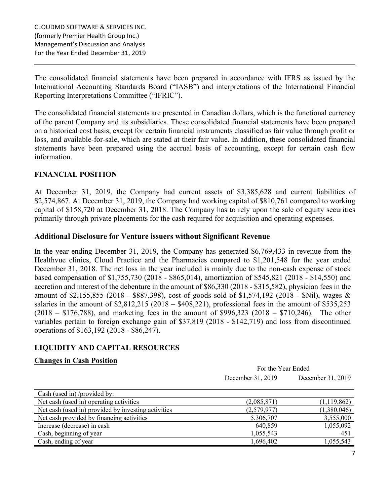The consolidated financial statements have been prepared in accordance with IFRS as issued by the International Accounting Standards Board ("IASB") and interpretations of the International Financial Reporting Interpretations Committee ("IFRIC").

The consolidated financial statements are presented in Canadian dollars, which is the functional currency of the parent Company and its subsidiaries. These consolidated financial statements have been prepared on a historical cost basis, except for certain financial instruments classified as fair value through profit or loss, and available-for-sale, which are stated at their fair value. In addition, these consolidated financial statements have been prepared using the accrual basis of accounting, except for certain cash flow information.

# **FINANCIAL POSITION**

At December 31, 2019, the Company had current assets of \$3,385,628 and current liabilities of \$2,574,867. At December 31, 2019, the Company had working capital of \$810,761 compared to working capital of \$158,720 at December 31, 2018. The Company has to rely upon the sale of equity securities primarily through private placements for the cash required for acquisition and operating expenses.

## **Additional Disclosure for Venture issuers without Significant Revenue**

In the year ending December 31, 2019, the Company has generated \$6,769,433 in revenue from the Healthvue clinics, Cloud Practice and the Pharmacies compared to \$1,201,548 for the year ended December 31, 2018. The net loss in the year included is mainly due to the non-cash expense of stock based compensation of \$1,755,730 (2018 - \$865,014), amortization of \$545,821 (2018 - \$14,550) and accretion and interest of the debenture in the amount of \$86,330 (2018 - \$315,582), physician fees in the amount of \$2,155,855 (2018 - \$887,398), cost of goods sold of \$1,574,192 (2018 - \$Nil), wages & salaries in the amount of \$2,812,215 (2018 – \$408,221), professional fees in the amount of \$535,253  $(2018 - $176,788)$ , and marketing fees in the amount of \$996,323 (2018 – \$710,246). The other variables pertain to foreign exchange gain of \$37,819 (2018 - \$142,719) and loss from discontinued operations of \$163,192 (2018 - \$86,247).

# **LIQUIDITY AND CAPITAL RESOURCES**

## **Changes in Cash Position**

|                                                     | For the Year Ended                     |             |  |
|-----------------------------------------------------|----------------------------------------|-------------|--|
|                                                     | December 31, 2019<br>December 31, 2019 |             |  |
| Cash (used in) /provided by:                        |                                        |             |  |
| Net cash (used in) operating activities             | (2,085,871)                            | (1,119,862) |  |
| Net cash (used in) provided by investing activities | (2,579,977)                            | (1,380,046) |  |
| Net cash provided by financing activities           | 5,306,707                              | 3,555,000   |  |
| Increase (decrease) in cash                         | 640,859                                | 1,055,092   |  |
| Cash, beginning of year                             | 1,055,543                              | 451         |  |
| Cash, ending of year                                | 1,696,402                              | 1,055,543   |  |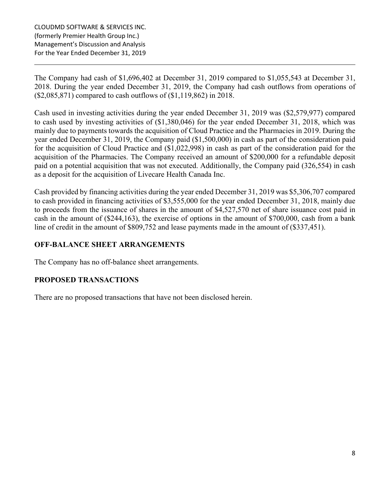The Company had cash of \$1,696,402 at December 31, 2019 compared to \$1,055,543 at December 31, 2018. During the year ended December 31, 2019, the Company had cash outflows from operations of (\$2,085,871) compared to cash outflows of (\$1,119,862) in 2018.

Cash used in investing activities during the year ended December 31, 2019 was (\$2,579,977) compared to cash used by investing activities of (\$1,380,046) for the year ended December 31, 2018, which was mainly due to payments towards the acquisition of Cloud Practice and the Pharmacies in 2019. During the year ended December 31, 2019, the Company paid (\$1,500,000) in cash as part of the consideration paid for the acquisition of Cloud Practice and (\$1,022,998) in cash as part of the consideration paid for the acquisition of the Pharmacies. The Company received an amount of \$200,000 for a refundable deposit paid on a potential acquisition that was not executed. Additionally, the Company paid (326,554) in cash as a deposit for the acquisition of Livecare Health Canada Inc.

Cash provided by financing activities during the year ended December 31, 2019 was \$5,306,707 compared to cash provided in financing activities of \$3,555,000 for the year ended December 31, 2018, mainly due to proceeds from the issuance of shares in the amount of \$4,527,570 net of share issuance cost paid in cash in the amount of (\$244,163), the exercise of options in the amount of \$700,000, cash from a bank line of credit in the amount of \$809,752 and lease payments made in the amount of (\$337,451).

# **OFF-BALANCE SHEET ARRANGEMENTS**

The Company has no off-balance sheet arrangements.

# **PROPOSED TRANSACTIONS**

There are no proposed transactions that have not been disclosed herein.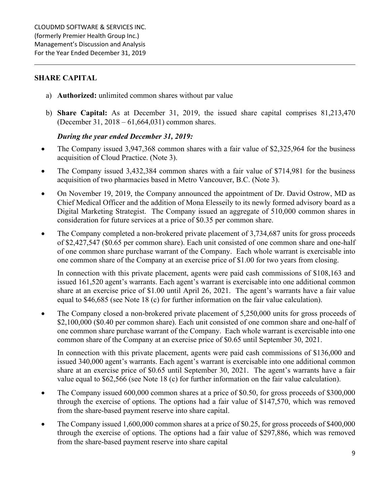## **SHARE CAPITAL**

- a) **Authorized:** unlimited common shares without par value
- b) **Share Capital:** As at December 31, 2019, the issued share capital comprises 81,213,470 (December 31, 2018 – 61,664,031) common shares.

## *During the year ended December 31, 2019:*

- The Company issued 3,947,368 common shares with a fair value of \$2,325,964 for the business acquisition of Cloud Practice. (Note 3).
- The Company issued 3,432,384 common shares with a fair value of \$714,981 for the business acquisition of two pharmacies based in Metro Vancouver, B.C. (Note 3).
- On November 19, 2019, the Company announced the appointment of Dr. David Ostrow, MD as Chief Medical Officer and the addition of Mona Elesseily to its newly formed advisory board as a Digital Marketing Strategist. The Company issued an aggregate of 510,000 common shares in consideration for future services at a price of \$0.35 per common share.
- The Company completed a non-brokered private placement of 3,734,687 units for gross proceeds of \$2,427,547 (\$0.65 per common share). Each unit consisted of one common share and one-half of one common share purchase warrant of the Company. Each whole warrant is exercisable into one common share of the Company at an exercise price of \$1.00 for two years from closing.

In connection with this private placement, agents were paid cash commissions of \$108,163 and issued 161,520 agent's warrants. Each agent's warrant is exercisable into one additional common share at an exercise price of \$1.00 until April 26, 2021. The agent's warrants have a fair value equal to \$46,685 (see Note 18 (c) for further information on the fair value calculation).

• The Company closed a non-brokered private placement of 5,250,000 units for gross proceeds of \$2,100,000 (\$0.40 per common share). Each unit consisted of one common share and one-half of one common share purchase warrant of the Company. Each whole warrant is exercisable into one common share of the Company at an exercise price of \$0.65 until September 30, 2021.

In connection with this private placement, agents were paid cash commissions of \$136,000 and issued 340,000 agent's warrants. Each agent's warrant is exercisable into one additional common share at an exercise price of \$0.65 until September 30, 2021. The agent's warrants have a fair value equal to \$62,566 (see Note 18 (c) for further information on the fair value calculation).

- The Company issued 600,000 common shares at a price of \$0.50, for gross proceeds of \$300,000 through the exercise of options. The options had a fair value of \$147,570, which was removed from the share-based payment reserve into share capital.
- The Company issued 1,600,000 common shares at a price of \$0.25, for gross proceeds of \$400,000 through the exercise of options. The options had a fair value of \$297,886, which was removed from the share-based payment reserve into share capital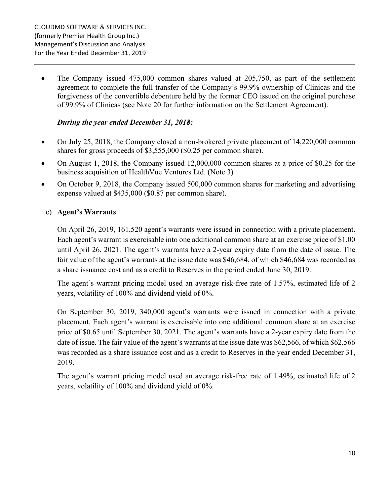• The Company issued 475,000 common shares valued at 205,750, as part of the settlement agreement to complete the full transfer of the Company's 99.9% ownership of Clinicas and the forgiveness of the convertible debenture held by the former CEO issued on the original purchase of 99.9% of Clinicas (see Note 20 for further information on the Settlement Agreement).

## *During the year ended December 31, 2018:*

- On July 25, 2018, the Company closed a non-brokered private placement of 14,220,000 common shares for gross proceeds of \$3,555,000 (\$0.25 per common share).
- On August 1, 2018, the Company issued 12,000,000 common shares at a price of \$0.25 for the business acquisition of HealthVue Ventures Ltd. (Note 3)
- On October 9, 2018, the Company issued 500,000 common shares for marketing and advertising expense valued at \$435,000 (\$0.87 per common share).

# c) **Agent's Warrants**

On April 26, 2019, 161,520 agent's warrants were issued in connection with a private placement. Each agent's warrant is exercisable into one additional common share at an exercise price of \$1.00 until April 26, 2021. The agent's warrants have a 2-year expiry date from the date of issue. The fair value of the agent's warrants at the issue date was \$46,684, of which \$46,684 was recorded as a share issuance cost and as a credit to Reserves in the period ended June 30, 2019.

The agent's warrant pricing model used an average risk-free rate of 1.57%, estimated life of 2 years, volatility of 100% and dividend yield of 0%.

On September 30, 2019, 340,000 agent's warrants were issued in connection with a private placement. Each agent's warrant is exercisable into one additional common share at an exercise price of \$0.65 until September 30, 2021. The agent's warrants have a 2-year expiry date from the date of issue. The fair value of the agent's warrants at the issue date was \$62,566, of which \$62,566 was recorded as a share issuance cost and as a credit to Reserves in the year ended December 31, 2019.

The agent's warrant pricing model used an average risk-free rate of 1.49%, estimated life of 2 years, volatility of 100% and dividend yield of 0%.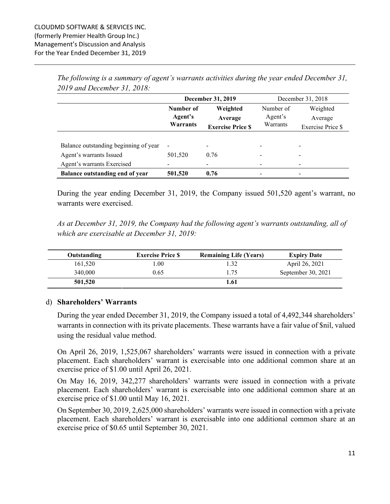|                                       | December 31, 2019 |                          |           | December 31, 2018 |  |
|---------------------------------------|-------------------|--------------------------|-----------|-------------------|--|
|                                       | Number of         | Weighted                 | Number of | Weighted          |  |
|                                       | Agent's           | Average                  | Agent's   | Average           |  |
|                                       | Warrants          | <b>Exercise Price \$</b> | Warrants  | Exercise Price \$ |  |
|                                       |                   |                          |           |                   |  |
| Balance outstanding beginning of year | ۰                 |                          |           |                   |  |
| Agent's warrants Issued               | 501,520           | 0.76                     |           |                   |  |
| Agent's warrants Exercised            |                   |                          |           |                   |  |
| Balance outstanding end of year       | 501,520           | 0.76                     |           |                   |  |

*The following is a summary of agent's warrants activities during the year ended December 31, 2019 and December 31, 2018:* 

During the year ending December 31, 2019, the Company issued 501,520 agent's warrant, no warrants were exercised.

*As at December 31, 2019, the Company had the following agent's warrants outstanding, all of which are exercisable at December 31, 2019:* 

| Outstanding | <b>Exercise Price S</b> | <b>Remaining Life (Years)</b> | <b>Expiry Date</b> |
|-------------|-------------------------|-------------------------------|--------------------|
| 161,520     | 00.1                    | 1.32                          | April 26, 2021     |
| 340,000     | 0.65                    | 1.75                          | September 30, 2021 |
| 501,520     |                         | 1.61                          |                    |

#### d) **Shareholders' Warrants**

During the year ended December 31, 2019, the Company issued a total of 4,492,344 shareholders' warrants in connection with its private placements. These warrants have a fair value of \$nil, valued using the residual value method.

On April 26, 2019, 1,525,067 shareholders' warrants were issued in connection with a private placement. Each shareholders' warrant is exercisable into one additional common share at an exercise price of \$1.00 until April 26, 2021.

On May 16, 2019, 342,277 shareholders' warrants were issued in connection with a private placement. Each shareholders' warrant is exercisable into one additional common share at an exercise price of \$1.00 until May 16, 2021.

On September 30, 2019, 2,625,000 shareholders' warrants were issued in connection with a private placement. Each shareholders' warrant is exercisable into one additional common share at an exercise price of \$0.65 until September 30, 2021.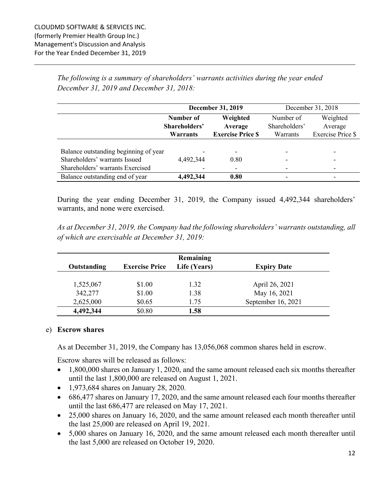*The following is a summary of shareholders' warrants activities during the year ended December 31, 2019 and December 31, 2018:* 

|                                       |               | <b>December 31, 2019</b> | December 31, 2018        |                          |  |
|---------------------------------------|---------------|--------------------------|--------------------------|--------------------------|--|
|                                       | Number of     | Weighted                 | Number of                | Weighted                 |  |
|                                       | Shareholders' | Average                  | Shareholders'            | Average                  |  |
|                                       | Warrants      | <b>Exercise Price \$</b> | Warrants                 | Exercise Price \$        |  |
|                                       |               |                          |                          |                          |  |
| Balance outstanding beginning of year |               |                          |                          |                          |  |
| Shareholders' warrants Issued         | 4,492,344     | 0.80                     | $\overline{\phantom{0}}$ | $\overline{\phantom{0}}$ |  |
| Shareholders' warrants Exercised      |               |                          | $\overline{\phantom{0}}$ |                          |  |
| Balance outstanding end of year       | 4,492,344     | 0.80                     | $\overline{\phantom{0}}$ |                          |  |

During the year ending December 31, 2019, the Company issued 4,492,344 shareholders' warrants, and none were exercised.

*As at December 31, 2019, the Company had the following shareholders' warrants outstanding, all of which are exercisable at December 31, 2019:* 

|             |                       | Remaining    |                    |
|-------------|-----------------------|--------------|--------------------|
| Outstanding | <b>Exercise Price</b> | Life (Years) | <b>Expiry Date</b> |
|             |                       |              |                    |
| 1,525,067   | \$1.00                | 1.32         | April 26, 2021     |
| 342,277     | \$1.00                | 1.38         | May 16, 2021       |
| 2,625,000   | \$0.65                | 1.75         | September 16, 2021 |
| 4,492,344   | \$0.80                | 1.58         |                    |

#### e) **Escrow shares**

As at December 31, 2019, the Company has 13,056,068 common shares held in escrow.

Escrow shares will be released as follows:

- 1,800,000 shares on January 1, 2020, and the same amount released each six months thereafter until the last 1,800,000 are released on August 1, 2021.
- 1,973,684 shares on January 28, 2020.
- 686,477 shares on January 17, 2020, and the same amount released each four months thereafter until the last 686,477 are released on May 17, 2021.
- 25,000 shares on January 16, 2020, and the same amount released each month thereafter until the last 25,000 are released on April 19, 2021.
- 5,000 shares on January 16, 2020, and the same amount released each month thereafter until the last 5,000 are released on October 19, 2020.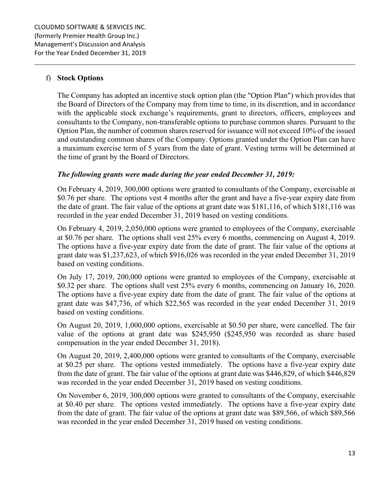## f) **Stock Options**

The Company has adopted an incentive stock option plan (the "Option Plan") which provides that the Board of Directors of the Company may from time to time, in its discretion, and in accordance with the applicable stock exchange's requirements, grant to directors, officers, employees and consultants to the Company, non-transferable options to purchase common shares. Pursuant to the Option Plan, the number of common shares reserved for issuance will not exceed 10% of the issued and outstanding common shares of the Company. Options granted under the Option Plan can have a maximum exercise term of 5 years from the date of grant. Vesting terms will be determined at the time of grant by the Board of Directors.

#### *The following grants were made during the year ended December 31, 2019:*

On February 4, 2019, 300,000 options were granted to consultants of the Company, exercisable at \$0.76 per share. The options vest 4 months after the grant and have a five-year expiry date from the date of grant. The fair value of the options at grant date was \$181,116, of which \$181,116 was recorded in the year ended December 31, 2019 based on vesting conditions.

On February 4, 2019, 2,050,000 options were granted to employees of the Company, exercisable at \$0.76 per share. The options shall vest 25% every 6 months, commencing on August 4, 2019. The options have a five-year expiry date from the date of grant. The fair value of the options at grant date was \$1,237,623, of which \$916,026 was recorded in the year ended December 31, 2019 based on vesting conditions.

On July 17, 2019, 200,000 options were granted to employees of the Company, exercisable at \$0.32 per share. The options shall vest 25% every 6 months, commencing on January 16, 2020. The options have a five-year expiry date from the date of grant. The fair value of the options at grant date was \$47,736, of which \$22,565 was recorded in the year ended December 31, 2019 based on vesting conditions.

On August 20, 2019, 1,000,000 options, exercisable at \$0.50 per share, were cancelled. The fair value of the options at grant date was \$245,950 (\$245,950 was recorded as share based compensation in the year ended December 31, 2018).

On August 20, 2019, 2,400,000 options were granted to consultants of the Company, exercisable at \$0.25 per share. The options vested immediately. The options have a five-year expiry date from the date of grant. The fair value of the options at grant date was \$446,829, of which \$446,829 was recorded in the year ended December 31, 2019 based on vesting conditions.

On November 6, 2019, 300,000 options were granted to consultants of the Company, exercisable at \$0.40 per share. The options vested immediately. The options have a five-year expiry date from the date of grant. The fair value of the options at grant date was \$89,566, of which \$89,566 was recorded in the year ended December 31, 2019 based on vesting conditions.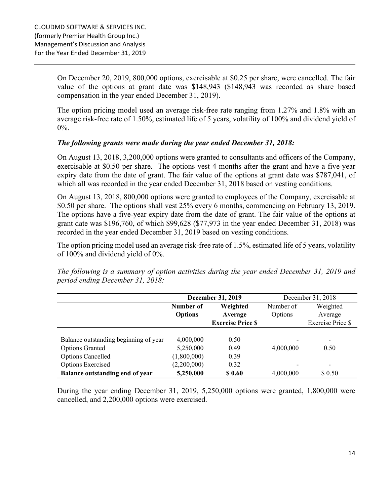On December 20, 2019, 800,000 options, exercisable at \$0.25 per share, were cancelled. The fair value of the options at grant date was \$148,943 (\$148,943 was recorded as share based compensation in the year ended December 31, 2019).

The option pricing model used an average risk-free rate ranging from 1.27% and 1.8% with an average risk-free rate of 1.50%, estimated life of 5 years, volatility of 100% and dividend yield of  $0\%$ .

#### *The following grants were made during the year ended December 31, 2018:*

On August 13, 2018, 3,200,000 options were granted to consultants and officers of the Company, exercisable at \$0.50 per share. The options vest 4 months after the grant and have a five-year expiry date from the date of grant. The fair value of the options at grant date was \$787,041, of which all was recorded in the year ended December 31, 2018 based on vesting conditions.

On August 13, 2018, 800,000 options were granted to employees of the Company, exercisable at \$0.50 per share. The options shall vest 25% every 6 months, commencing on February 13, 2019. The options have a five-year expiry date from the date of grant. The fair value of the options at grant date was \$196,760, of which \$99,628 (\$77,973 in the year ended December 31, 2018) was recorded in the year ended December 31, 2019 based on vesting conditions.

The option pricing model used an average risk-free rate of 1.5%, estimated life of 5 years, volatility of 100% and dividend yield of 0%.

*The following is a summary of option activities during the year ended December 31, 2019 and period ending December 31, 2018:* 

|                                       | <b>December 31, 2019</b> |                          |           | December 31, 2018        |
|---------------------------------------|--------------------------|--------------------------|-----------|--------------------------|
|                                       | Number of                | Weighted                 |           | Weighted                 |
|                                       | <b>Options</b>           | Average                  | Options   | Average                  |
|                                       |                          | <b>Exercise Price \$</b> |           | Exercise Price \$        |
|                                       |                          |                          |           |                          |
| Balance outstanding beginning of year | 4,000,000                | 0.50                     |           | -                        |
| <b>Options Granted</b>                | 5,250,000                | 0.49                     | 4,000,000 | 0.50                     |
| <b>Options Cancelled</b>              | (1,800,000)              | 0.39                     |           |                          |
| Options Exercised                     | (2,200,000)              | 0.32                     |           | $\overline{\phantom{0}}$ |
| Balance outstanding end of year       | 5,250,000                | \$0.60                   | 4,000,000 | \$ 0.50                  |

During the year ending December 31, 2019, 5,250,000 options were granted, 1,800,000 were cancelled, and 2,200,000 options were exercised.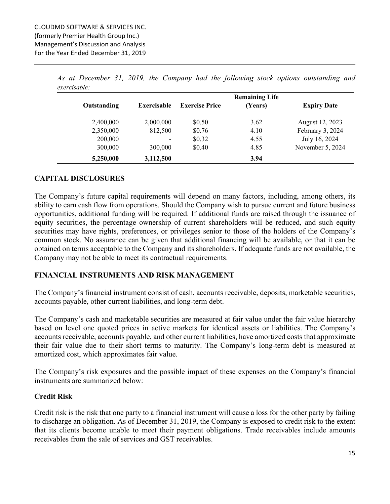|             |                    |                       | <b>Remaining Life</b> |                    |
|-------------|--------------------|-----------------------|-----------------------|--------------------|
| Outstanding | <b>Exercisable</b> | <b>Exercise Price</b> | (Years)               | <b>Expiry Date</b> |
| 2,400,000   | 2,000,000          | \$0.50                | 3.62                  | August 12, 2023    |
| 2,350,000   | 812,500            | \$0.76                | 4.10                  | February 3, 2024   |
| 200,000     | ٠                  | \$0.32                | 4.55                  | July 16, 2024      |
| 300,000     | 300,000            | \$0.40                | 4.85                  | November 5, 2024   |
| 5,250,000   | 3,112,500          |                       | 3.94                  |                    |

*As at December 31, 2019, the Company had the following stock options outstanding and exercisable:*

## **CAPITAL DISCLOSURES**

The Company's future capital requirements will depend on many factors, including, among others, its ability to earn cash flow from operations. Should the Company wish to pursue current and future business opportunities, additional funding will be required. If additional funds are raised through the issuance of equity securities, the percentage ownership of current shareholders will be reduced, and such equity securities may have rights, preferences, or privileges senior to those of the holders of the Company's common stock. No assurance can be given that additional financing will be available, or that it can be obtained on terms acceptable to the Company and its shareholders. If adequate funds are not available, the Company may not be able to meet its contractual requirements.

## **FINANCIAL INSTRUMENTS AND RISK MANAGEMENT**

The Company's financial instrument consist of cash, accounts receivable, deposits, marketable securities, accounts payable, other current liabilities, and long-term debt.

The Company's cash and marketable securities are measured at fair value under the fair value hierarchy based on level one quoted prices in active markets for identical assets or liabilities. The Company's accounts receivable, accounts payable, and other current liabilities, have amortized costs that approximate their fair value due to their short terms to maturity. The Company's long-term debt is measured at amortized cost, which approximates fair value.

The Company's risk exposures and the possible impact of these expenses on the Company's financial instruments are summarized below:

## **Credit Risk**

Credit risk is the risk that one party to a financial instrument will cause a loss for the other party by failing to discharge an obligation. As of December 31, 2019, the Company is exposed to credit risk to the extent that its clients become unable to meet their payment obligations. Trade receivables include amounts receivables from the sale of services and GST receivables.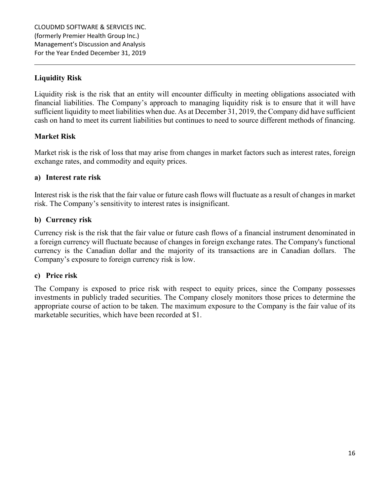# **Liquidity Risk**

Liquidity risk is the risk that an entity will encounter difficulty in meeting obligations associated with financial liabilities. The Company's approach to managing liquidity risk is to ensure that it will have sufficient liquidity to meet liabilities when due. As at December 31, 2019, the Company did have sufficient cash on hand to meet its current liabilities but continues to need to source different methods of financing.

#### **Market Risk**

Market risk is the risk of loss that may arise from changes in market factors such as interest rates, foreign exchange rates, and commodity and equity prices.

#### **a) Interest rate risk**

Interest risk is the risk that the fair value or future cash flows will fluctuate as a result of changes in market risk. The Company's sensitivity to interest rates is insignificant.

#### **b) Currency risk**

Currency risk is the risk that the fair value or future cash flows of a financial instrument denominated in a foreign currency will fluctuate because of changes in foreign exchange rates. The Company's functional currency is the Canadian dollar and the majority of its transactions are in Canadian dollars. The Company's exposure to foreign currency risk is low.

#### **c) Price risk**

The Company is exposed to price risk with respect to equity prices, since the Company possesses investments in publicly traded securities. The Company closely monitors those prices to determine the appropriate course of action to be taken. The maximum exposure to the Company is the fair value of its marketable securities, which have been recorded at \$1.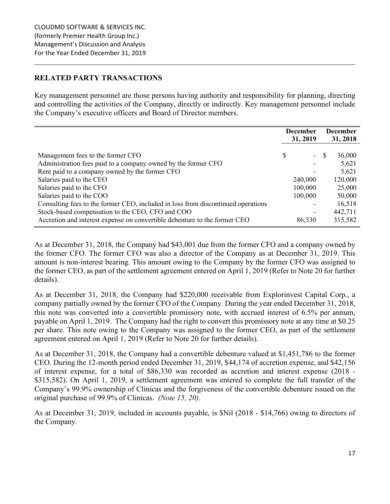## **RELATED PARTY TRANSACTIONS**

Key management personnel are those persons having authority and responsibility for planning, directing and controlling the activities of the Company, directly or indirectly. Key management personnel include the Company's executive officers and Board of Director members.

| 31, 2019                                                                                                                                                                                                                                                                | <b>December</b><br>31, 2018            |
|-------------------------------------------------------------------------------------------------------------------------------------------------------------------------------------------------------------------------------------------------------------------------|----------------------------------------|
| \$<br>Management fees to the former CFO<br><sup>S</sup><br>$\overline{\phantom{a}}$<br>Administration fees paid to a company owned by the former CFO<br>-<br>Rent paid to a company owned by the former CFO                                                             | 36,000<br>5,621<br>5,621               |
| Salaries paid to the CEO<br>240,000<br>Salaries paid to the CFO<br>100,000                                                                                                                                                                                              | 120,000<br>25,000                      |
| Salaries paid to the COO<br>100,000<br>Consulting fees to the former CEO, included in loss from discontinued operations<br>Stock-based compensation to the CEO, CFO and COO<br>۰<br>Accretion and interest expense on convertible debenture to the former CEO<br>86,330 | 50,000<br>16,518<br>442,711<br>315,582 |

As at December 31, 2018, the Company had \$43,001 due from the former CFO and a company owned by the former CFO. The former CFO was also a director of the Company as at December 31, 2019. This amount is non-interest bearing. This amount owing to the Company by the former CFO was assigned to the former CEO, as part of the settlement agreement entered on April 1, 2019 (Refer to Note 20 for further details).

As at December 31, 2018, the Company had \$220,000 receivable from Explorinvest Capital Corp., a company partially owned by the former CFO of the Company. During the year ended December 31, 2018, this note was converted into a convertible promissory note, with accrued interest of 6.5% per annum, payable on April 1, 2019. The Company had the right to convert this promissory note at any time at \$0.25 per share. This note owing to the Company was assigned to the former CEO, as part of the settlement agreement entered on April 1, 2019 (Refer to Note 20 for further details).

As at December 31, 2018, the Company had a convertible debenture valued at \$1,451,786 to the former CEO. During the 12-month period ended December 31, 2019, \$44,174 of accretion expense, and \$42,156 of interest expense, for a total of \$86,330 was recorded as accretion and interest expense (2018 - \$315,582). On April 1, 2019, a settlement agreement was entered to complete the full transfer of the Company's 99.9% ownership of Clinicas and the forgiveness of the convertible debenture issued on the original purchase of 99.9% of Clinicas. *(Note 15, 20)*.

As at December 31, 2019, included in accounts payable, is \$Nil (2018 - \$14,766) owing to directors of the Company.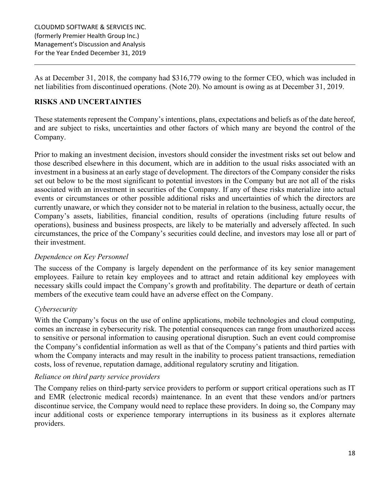As at December 31, 2018, the company had \$316,779 owing to the former CEO, which was included in net liabilities from discontinued operations. (Note 20). No amount is owing as at December 31, 2019.

# **RISKS AND UNCERTAINTIES**

These statements represent the Company's intentions, plans, expectations and beliefs as of the date hereof, and are subject to risks, uncertainties and other factors of which many are beyond the control of the Company.

Prior to making an investment decision, investors should consider the investment risks set out below and those described elsewhere in this document, which are in addition to the usual risks associated with an investment in a business at an early stage of development. The directors of the Company consider the risks set out below to be the most significant to potential investors in the Company but are not all of the risks associated with an investment in securities of the Company. If any of these risks materialize into actual events or circumstances or other possible additional risks and uncertainties of which the directors are currently unaware, or which they consider not to be material in relation to the business, actually occur, the Company's assets, liabilities, financial condition, results of operations (including future results of operations), business and business prospects, are likely to be materially and adversely affected. In such circumstances, the price of the Company's securities could decline, and investors may lose all or part of their investment.

# *Dependence on Key Personnel*

The success of the Company is largely dependent on the performance of its key senior management employees. Failure to retain key employees and to attract and retain additional key employees with necessary skills could impact the Company's growth and profitability. The departure or death of certain members of the executive team could have an adverse effect on the Company.

# *Cybersecurity*

With the Company's focus on the use of online applications, mobile technologies and cloud computing, comes an increase in cybersecurity risk. The potential consequences can range from unauthorized access to sensitive or personal information to causing operational disruption. Such an event could compromise the Company's confidential information as well as that of the Company's patients and third parties with whom the Company interacts and may result in the inability to process patient transactions, remediation costs, loss of revenue, reputation damage, additional regulatory scrutiny and litigation.

## *Reliance on third party service providers*

The Company relies on third-party service providers to perform or support critical operations such as IT and EMR (electronic medical records) maintenance. In an event that these vendors and/or partners discontinue service, the Company would need to replace these providers. In doing so, the Company may incur additional costs or experience temporary interruptions in its business as it explores alternate providers.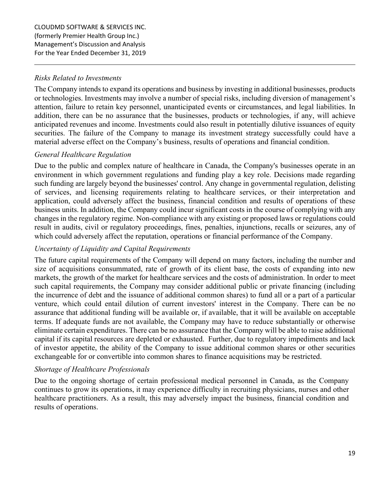## *Risks Related to Investments*

The Company intends to expand its operations and business by investing in additional businesses, products or technologies. Investments may involve a number of special risks, including diversion of management's attention, failure to retain key personnel, unanticipated events or circumstances, and legal liabilities. In addition, there can be no assurance that the businesses, products or technologies, if any, will achieve anticipated revenues and income. Investments could also result in potentially dilutive issuances of equity securities. The failure of the Company to manage its investment strategy successfully could have a material adverse effect on the Company's business, results of operations and financial condition.

# *General Healthcare Regulation*

Due to the public and complex nature of healthcare in Canada, the Company's businesses operate in an environment in which government regulations and funding play a key role. Decisions made regarding such funding are largely beyond the businesses' control. Any change in governmental regulation, delisting of services, and licensing requirements relating to healthcare services, or their interpretation and application, could adversely affect the business, financial condition and results of operations of these business units. In addition, the Company could incur significant costs in the course of complying with any changes in the regulatory regime. Non-compliance with any existing or proposed laws or regulations could result in audits, civil or regulatory proceedings, fines, penalties, injunctions, recalls or seizures, any of which could adversely affect the reputation, operations or financial performance of the Company.

# *Uncertainty of Liquidity and Capital Requirements*

The future capital requirements of the Company will depend on many factors, including the number and size of acquisitions consummated, rate of growth of its client base, the costs of expanding into new markets, the growth of the market for healthcare services and the costs of administration. In order to meet such capital requirements, the Company may consider additional public or private financing (including the incurrence of debt and the issuance of additional common shares) to fund all or a part of a particular venture, which could entail dilution of current investors' interest in the Company. There can be no assurance that additional funding will be available or, if available, that it will be available on acceptable terms. If adequate funds are not available, the Company may have to reduce substantially or otherwise eliminate certain expenditures. There can be no assurance that the Company will be able to raise additional capital if its capital resources are depleted or exhausted. Further, due to regulatory impediments and lack of investor appetite, the ability of the Company to issue additional common shares or other securities exchangeable for or convertible into common shares to finance acquisitions may be restricted.

## *Shortage of Healthcare Professionals*

Due to the ongoing shortage of certain professional medical personnel in Canada, as the Company continues to grow its operations, it may experience difficulty in recruiting physicians, nurses and other healthcare practitioners. As a result, this may adversely impact the business, financial condition and results of operations.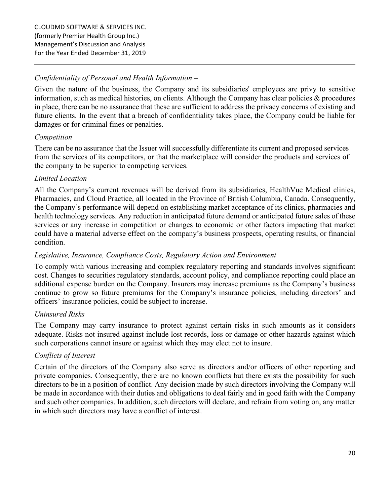# *Confidentiality of Personal and Health Information –*

Given the nature of the business, the Company and its subsidiaries' employees are privy to sensitive information, such as medical histories, on clients. Although the Company has clear policies  $\&$  procedures in place, there can be no assurance that these are sufficient to address the privacy concerns of existing and future clients. In the event that a breach of confidentiality takes place, the Company could be liable for damages or for criminal fines or penalties.

## *Competition*

There can be no assurance that the Issuer will successfully differentiate its current and proposed services from the services of its competitors, or that the marketplace will consider the products and services of the company to be superior to competing services.

## *Limited Location*

All the Company's current revenues will be derived from its subsidiaries, HealthVue Medical clinics, Pharmacies, and Cloud Practice, all located in the Province of British Columbia, Canada. Consequently, the Company's performance will depend on establishing market acceptance of its clinics, pharmacies and health technology services. Any reduction in anticipated future demand or anticipated future sales of these services or any increase in competition or changes to economic or other factors impacting that market could have a material adverse effect on the company's business prospects, operating results, or financial condition.

## *Legislative, Insurance, Compliance Costs, Regulatory Action and Environment*

To comply with various increasing and complex regulatory reporting and standards involves significant cost. Changes to securities regulatory standards, account policy, and compliance reporting could place an additional expense burden on the Company. Insurers may increase premiums as the Company's business continue to grow so future premiums for the Company's insurance policies, including directors' and officers' insurance policies, could be subject to increase.

## *Uninsured Risks*

The Company may carry insurance to protect against certain risks in such amounts as it considers adequate. Risks not insured against include lost records, loss or damage or other hazards against which such corporations cannot insure or against which they may elect not to insure.

## *Conflicts of Interest*

Certain of the directors of the Company also serve as directors and/or officers of other reporting and private companies. Consequently, there are no known conflicts but there exists the possibility for such directors to be in a position of conflict. Any decision made by such directors involving the Company will be made in accordance with their duties and obligations to deal fairly and in good faith with the Company and such other companies. In addition, such directors will declare, and refrain from voting on, any matter in which such directors may have a conflict of interest.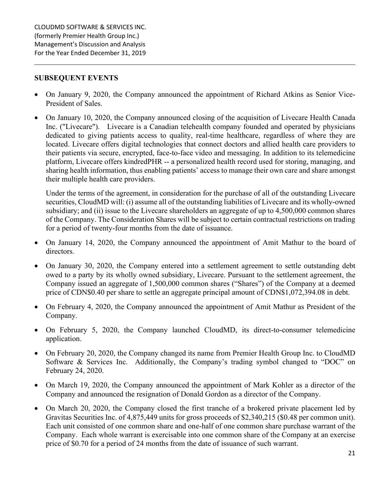#### **SUBSEQUENT EVENTS**

- On January 9, 2020, the Company announced the appointment of Richard Atkins as Senior Vice-President of Sales.
- On January 10, 2020, the Company announced closing of the acquisition of Livecare Health Canada Inc. ("Livecare"). Livecare is a Canadian telehealth company founded and operated by physicians dedicated to giving patients access to quality, real-time healthcare, regardless of where they are located. Livecare offers digital technologies that connect doctors and allied health care providers to their patients via secure, encrypted, face-to-face video and messaging. In addition to its telemedicine platform, Livecare offers kindredPHR -- a personalized health record used for storing, managing, and sharing health information, thus enabling patients' access to manage their own care and share amongst their multiple health care providers.

Under the terms of the agreement, in consideration for the purchase of all of the outstanding Livecare securities, CloudMD will: (i) assume all of the outstanding liabilities of Livecare and its wholly-owned subsidiary; and (ii) issue to the Livecare shareholders an aggregate of up to 4,500,000 common shares of the Company. The Consideration Shares will be subject to certain contractual restrictions on trading for a period of twenty-four months from the date of issuance.

- On January 14, 2020, the Company announced the appointment of Amit Mathur to the board of directors.
- On January 30, 2020, the Company entered into a settlement agreement to settle outstanding debt owed to a party by its wholly owned subsidiary, Livecare. Pursuant to the settlement agreement, the Company issued an aggregate of 1,500,000 common shares ("Shares") of the Company at a deemed price of CDN\$0.40 per share to settle an aggregate principal amount of CDN\$1,072,394.08 in debt.
- On February 4, 2020, the Company announced the appointment of Amit Mathur as President of the Company.
- On February 5, 2020, the Company launched CloudMD, its direct-to-consumer telemedicine application.
- On February 20, 2020, the Company changed its name from Premier Health Group Inc. to CloudMD Software & Services Inc. Additionally, the Company's trading symbol changed to "DOC" on February 24, 2020.
- On March 19, 2020, the Company announced the appointment of Mark Kohler as a director of the Company and announced the resignation of Donald Gordon as a director of the Company.
- On March 20, 2020, the Company closed the first tranche of a brokered private placement led by Gravitas Securities Inc. of 4,875,449 units for gross proceeds of \$2,340,215 (\$0.48 per common unit). Each unit consisted of one common share and one-half of one common share purchase warrant of the Company. Each whole warrant is exercisable into one common share of the Company at an exercise price of \$0.70 for a period of 24 months from the date of issuance of such warrant.